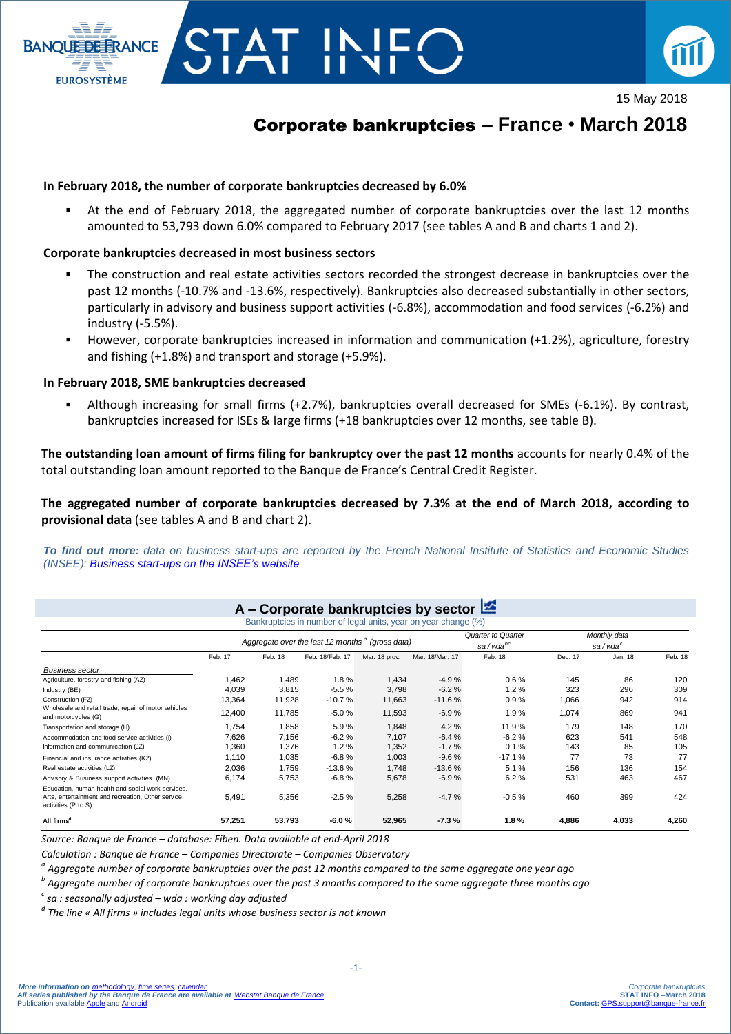

15 May 2018

# Corporate bankruptcies **– France** • **March 2018**

## **In February 2018, the number of corporate bankruptcies decreased by 6.0%**

F H

 At the end of February 2018, the aggregated number of corporate bankruptcies over the last 12 months amounted to 53,793 down 6.0% compared to February 2017 (see tables A and B and charts 1 and 2).

## **Corporate bankruptcies decreased in most business sectors**

- The construction and real estate activities sectors recorded the strongest decrease in bankruptcies over the past 12 months (-10.7% and -13.6%, respectively). Bankruptcies also decreased substantially in other sectors, particularly in advisory and business support activities (-6.8%), accommodation and food services (-6.2%) and industry (-5.5%).
- However, corporate bankruptcies increased in information and communication (+1.2%), agriculture, forestry and fishing (+1.8%) and transport and storage (+5.9%).

## **In February 2018, SME bankruptcies decreased**

**BANOUE DE FRANCE** 

**EUROSYSTÈME** 

 Although increasing for small firms (+2.7%), bankruptcies overall decreased for SMEs (-6.1%). By contrast, bankruptcies increased for ISEs & large firms (+18 bankruptcies over 12 months, see table B).

**The outstanding loan amount of firms filing for bankruptcy over the past 12 months** accounts for nearly 0.4% of the total outstanding loan amount reported to the Banque de France's Central Credit Register.

**The aggregated number of corporate bankruptcies decreased by 7.3% at the end of March 2018, according to provisional data** (see tables A and B and chart 2).

*To find out more: data on business start-ups are reported by the French National Institute of Statistics and Economic Studies (INSEE): [Business start-ups on the INSEE's website](https://www.insee.fr/en/statistiques/3535075)*

|                                                                                                                               |                                                                                                      |         | A – Corporate bankruptcies by sector $\mathbb{Z}$ |               |                 |                      |         |                     |         |  |  |
|-------------------------------------------------------------------------------------------------------------------------------|------------------------------------------------------------------------------------------------------|---------|---------------------------------------------------|---------------|-----------------|----------------------|---------|---------------------|---------|--|--|
|                                                                                                                               |                                                                                                      |         |                                                   |               |                 |                      |         |                     |         |  |  |
|                                                                                                                               | Bankruptcies in number of legal units, year on year change (%)<br>Monthly data<br>Quarter to Quarter |         |                                                   |               |                 |                      |         |                     |         |  |  |
|                                                                                                                               | Aggregate over the last 12 months <sup>a</sup> (gross data)                                          |         |                                                   |               |                 | sa/wda <sup>bc</sup> |         | sa/wda <sup>c</sup> |         |  |  |
|                                                                                                                               | Feb. 17                                                                                              | Feb. 18 | Feb. 18/Feb. 17                                   | Mar. 18 prov. | Mar. 18/Mar. 17 | Feb. 18              | Dec. 17 | Jan. 18             | Feb. 18 |  |  |
| <b>Business sector</b>                                                                                                        |                                                                                                      |         |                                                   |               |                 |                      |         |                     |         |  |  |
| Agriculture, forestry and fishing (AZ)                                                                                        | 1.462                                                                                                | 1.489   | 1.8%                                              | 1,434         | $-4.9%$         | $0.6\%$              | 145     | 86                  | 120     |  |  |
| Industry (BE)                                                                                                                 | 4,039                                                                                                | 3,815   | $-5.5%$                                           | 3,798         | $-6.2%$         | 1.2%                 | 323     | 296                 | 309     |  |  |
| Construction (FZ)                                                                                                             | 13,364                                                                                               | 11,928  | $-10.7%$                                          | 11,663        | $-11.6%$        | 0.9%                 | 1,066   | 942                 | 914     |  |  |
| Wholesale and retail trade; repair of motor vehicles<br>and motorcycles (G)                                                   | 12,400                                                                                               | 11.785  | $-5.0%$                                           | 11,593        | $-6.9%$         | 1.9%                 | 1,074   | 869                 | 941     |  |  |
| Transportation and storage (H)                                                                                                | 1.754                                                                                                | 1.858   | 5.9%                                              | 1,848         | 4.2%            | 11.9%                | 179     | 148                 | 170     |  |  |
| Accommodation and food service activities (I)                                                                                 | 7,626                                                                                                | 7,156   | $-6.2%$                                           | 7.107         | $-6.4%$         | $-6.2%$              | 623     | 541                 | 548     |  |  |
| Information and communication (JZ)                                                                                            | 1,360                                                                                                | 1,376   | 1.2%                                              | 1,352         | $-1.7%$         | 0.1%                 | 143     | 85                  | 105     |  |  |
| Financial and insurance activities (KZ)                                                                                       | 1.110                                                                                                | 1.035   | $-6.8%$                                           | 1.003         | $-9.6%$         | $-17.1%$             | 77      | 73                  | 77      |  |  |
| Real estate activities (LZ)                                                                                                   | 2,036                                                                                                | 1,759   | $-13.6%$                                          | 1,748         | $-13.6%$        | 5.1%                 | 156     | 136                 | 154     |  |  |
| Advisory & Business support activities (MN)                                                                                   | 6,174                                                                                                | 5,753   | $-6.8%$                                           | 5,678         | $-6.9%$         | 6.2%                 | 531     | 463                 | 467     |  |  |
| Education, human health and social work services.<br>Arts, entertainment and recreation, Other service<br>activities (P to S) | 5,491                                                                                                | 5,356   | $-2.5%$                                           | 5,258         | $-4.7%$         | $-0.5%$              | 460     | 399                 | 424     |  |  |
| All firms <sup>c</sup>                                                                                                        | 57.251                                                                                               | 53.793  | $-6.0%$                                           | 52,965        | $-7.3%$         | 1.8%                 | 4.886   | 4.033               | 4,260   |  |  |

*Source: Banque de France – database: Fiben. Data available at end-April 2018*

*Calculation : Banque de France – Companies Directorate – Companies Observatory*

*a Aggregate number of corporate bankruptcies over the past 12 months compared to the same aggregate one year ago*

*b Aggregate number of corporate bankruptcies over the past 3 months compared to the same aggregate three months ago* 

*c sa : seasonally adjusted – wda : working day adjusted*

*d The line « All firms » includes legal units whose business sector is not known*